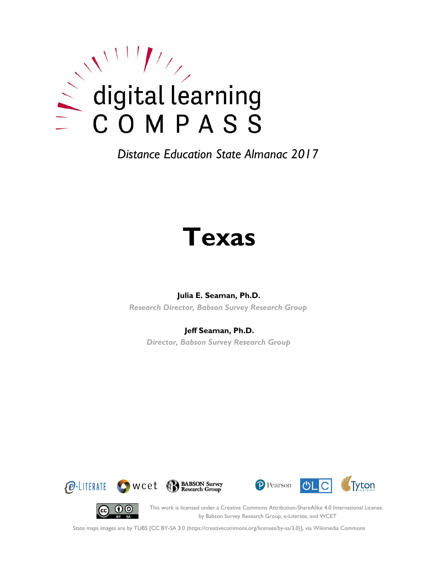

# **Texas**

#### **Julia E. Seaman, Ph.D.**

*Research Director, Babson Survey Research Group*

#### **Jeff Seaman, Ph.D.**

*Director, Babson Survey Research Group*









This work is licensed under a Creative Commons Attribution-ShareAlike 4.0 International License. by Babson Survey Research Group, e-Literate, and WCET

State maps images are by TUBS [CC BY-SA 3.0 (https://creativecommons.org/licenses/by-sa/3.0)], via Wikimedia Commons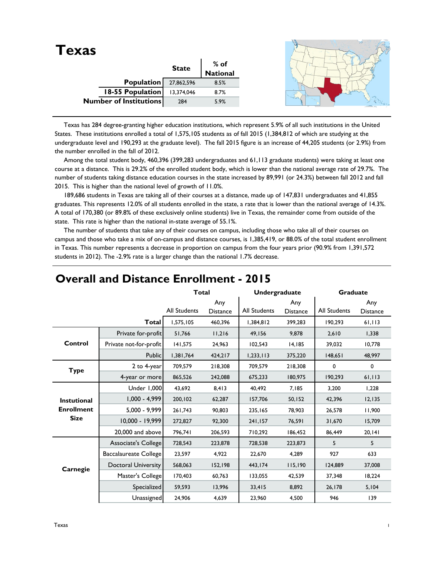| <b>Texas</b>           |              |                 |  |
|------------------------|--------------|-----------------|--|
|                        | <b>State</b> | $%$ of          |  |
|                        |              | <b>National</b> |  |
| Population             | 27,862,596   | 8.5%            |  |
| 18-55 Population       | 13,374,046   | 8.7%            |  |
| Number of Institutions | 284          | 5.9%            |  |
|                        |              |                 |  |

 Texas has 284 degree-granting higher education institutions, which represent 5.9% of all such institutions in the United States. These institutions enrolled a total of 1,575,105 students as of fall 2015 (1,384,812 of which are studying at the undergraduate level and 190,293 at the graduate level). The fall 2015 figure is an increase of 44,205 students (or 2.9%) from the number enrolled in the fall of 2012.

Among the total student body, 460,396 (399,283 undergraduates and 61,113 graduate students) were taking at least one course at a distance. This is 29.2% of the enrolled student body, which is lower than the national average rate of 29.7%. The number of students taking distance education courses in the state increased by 89,991 (or 24.3%) between fall 2012 and fall 2015. This is higher than the national level of growth of 11.0%.

 189,686 students in Texas are taking all of their courses at a distance, made up of 147,831 undergraduates and 41,855 graduates. This represents 12.0% of all students enrolled in the state, a rate that is lower than the national average of 14.3%. A total of 170,380 (or 89.8% of these exclusively online students) live in Texas, the remainder come from outside of the state. This rate is higher than the national in-state average of 55.1%.

 The number of students that take any of their courses on campus, including those who take all of their courses on campus and those who take a mix of on-campus and distance courses, is 1,385,419, or 88.0% of the total student enrollment in Texas. This number represents a decrease in proportion on campus from the four years prior (90.9% from 1,391,572 students in 2012). The -2.9% rate is a larger change than the national 1.7% decrease.

|                    |                              | <b>Total</b>        |                        | Undergraduate       |                        | <b>Graduate</b> |                        |
|--------------------|------------------------------|---------------------|------------------------|---------------------|------------------------|-----------------|------------------------|
|                    |                              | <b>All Students</b> | Any<br><b>Distance</b> | <b>All Students</b> | Any<br><b>Distance</b> | All Students    | Any<br><b>Distance</b> |
|                    | <b>Total</b>                 | 1,575,105           | 460,396                | 1,384,812           | 399,283                | 190,293         | 61,113                 |
|                    | Private for-profit           | 51,766              | 11,216                 | 49,156              | 9,878                  | 2,610           | 1,338                  |
| Control            | Private not-for-profit       | 141,575             | 24,963                 | 102,543             | 14,185                 | 39,032          | 10,778                 |
|                    | Public                       | 1,381,764           | 424,217                | 1,233,113           | 375,220                | 148,651         | 48,997                 |
| <b>Type</b>        | 2 to 4-year                  | 709,579             | 218,308                | 709,579             | 218,308                | 0               | 0                      |
|                    | 4-year or more               | 865,526             | 242,088                | 675,233             | 180,975                | 190,293         | 61,113                 |
|                    | Under 1,000                  | 43,692              | 8,413                  | 40.492              | 7,185                  | 3,200           | 1,228                  |
| <b>Instutional</b> | $1,000 - 4,999$              | 200,102             | 62,287                 | 157,706             | 50, 152                | 42,396          | 12,135                 |
| <b>Enrollment</b>  | $5,000 - 9,999$              | 261,743             | 90,803                 | 235,165             | 78,903                 | 26,578          | 11,900                 |
| <b>Size</b>        | 10,000 - 19,999              | 272,827             | 92,300                 | 241,157             | 76,591                 | 31,670          | 15,709                 |
|                    | 20,000 and above             | 796,741             | 206,593                | 710.292             | 186.452                | 86.449          | 20,141                 |
|                    | Associate's College          | 728,543             | 223,878                | 728,538             | 223,873                | 5               | 5                      |
|                    | <b>Baccalaureate College</b> | 23,597              | 4,922                  | 22,670              | 4,289                  | 927             | 633                    |
| Carnegie           | <b>Doctoral University</b>   | 568,063             | 152,198                | 443,174             | 115,190                | 124,889         | 37,008                 |
|                    | Master's College             | 170,403             | 60,763                 | 133,055             | 42,539                 | 37,348          | 18,224                 |
|                    | Specialized                  | 59,593              | 13,996                 | 33,415              | 8,892                  | 26,178          | 5,104                  |
|                    | Unassigned                   | 24,906              | 4,639                  | 23,960              | 4,500                  | 946             | 139                    |

## **Overall and Distance Enrollment - 2015**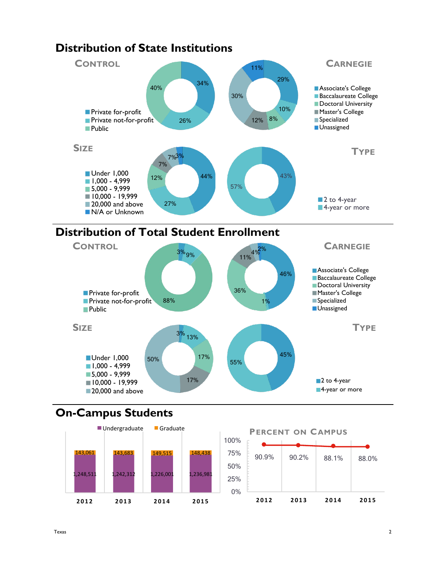

#### **Distribution of State Institutions**





# **On-Campus Students**



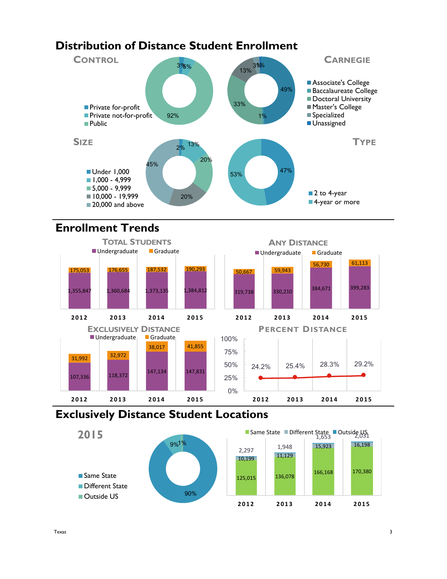# **Distribution of Distance Student Enrollment**



# **Enrollment Trends**



## **Exclusively Distance Student Locations**